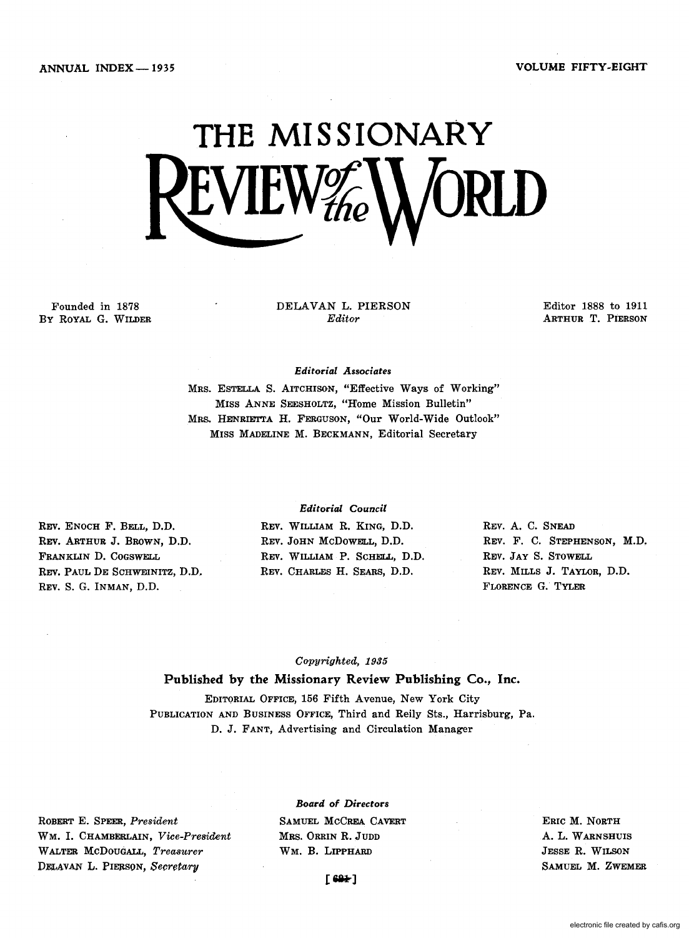ANNUAL INDEX - 1935 VOLUME FIFTY-EIGHT



Founded in 1878 By ROYAL G. WILDER DELAVAN L. PIERSON *Editor* 

Editor 1888 to 1911 ARTHUR T. PIERSON

*Editorial Associates* 

MRS. ESTELLA S. AITCHISON, "Effective Ways of Working" MISS ANNE SEESHOLTZ, "Home Mission Bulletin" MRS. HENRIETTA H. FERGUSON, "Our World-Wide Outlook" MISS MADELINE M. BECKMANN, Editorial Secretary

REV. ENOCH F. BELL, D.D. REV. ARTHUR J. BROWN, D.D. FRANKLIN D. COGSWELL REV. PAUL DE SCHWEINITZ, D.D. REV. S. G. INMAN, D.D.

## *Editorial Council*

REV. WILLIAM R. KING, D.D. REV. JOHN McDOWELL, D.D. REV. WILLIAM P. SCHELL, D.D. REV. CHARLES H. SEARS, D.D.

REV. A. C. SNEAD REV. F. C. STEPHENSON, M.D. REV. JAY S. STOWELL REV. MILLS J. TAYLOR, D.D. FLORENCE G. TYLER

# *Copyrighted, 1935*

Published by the Missionary Review Publishing Co., Inc.

EDITORIAL OFFICE, 156 Fifth A venue, New York City PUBLICATION AND BUSINESS OFFICE, Third and Reily Sts., Harrisburg, Pa. D. J. FANT, Advertising and Circulation Manager

ROBERT E. SPEER, *President*  WM. I. CHAMBERLAIN, *Vice-President*  WALTER MCDOUGALL, Treasurer DB.LAVAN L. PIERSON, *Secretary* 

*Board of* Directors SAMUEL MCCREA CAVERT MRS. ORRIN R. JUDD WM. B. LIPPHARD

ERIC M. NORTH A. L. WARNSHUIS JESSE R. WILSON SAMUEL M. ZWEMER

 $F$  69 $\pm$ 1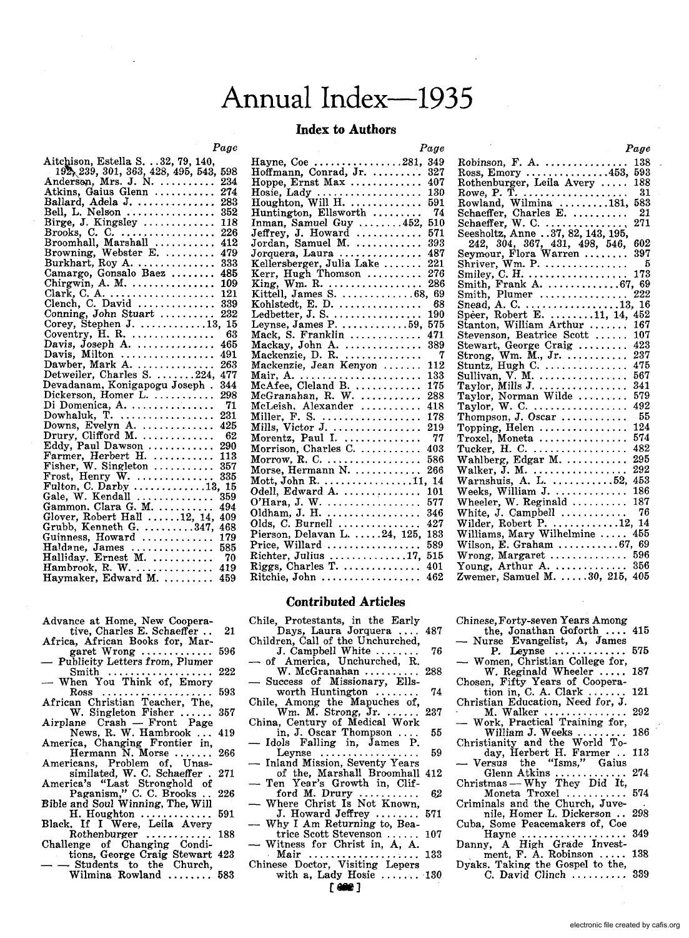# Annual Index-1935

## **Index to Authors**

### *Page*

| Aitchison, Estella S. 32, 79, 140,                    |      |
|-------------------------------------------------------|------|
| 192, 239, 301, 363, 428, 495, 543,                    | 598  |
| Anderson, Mrs. J. N.                                  | 234  |
| Atkins, Gaius Glenn                                   | 274  |
| Ballard, Adela J.                                     | 283  |
|                                                       | 352  |
|                                                       | 118  |
|                                                       | 226  |
|                                                       | 412  |
|                                                       | 479  |
| Burkhart, Roy A.                                      | 333  |
| Camargo, Gonsalo Baez<br>Chirgwin, A. M.              | 485  |
|                                                       | 109  |
| Clark, C. A. $\ldots$ . $\ldots$ . $\ldots$ .         | 121  |
|                                                       | 339  |
| Clench, C. David<br>Conning, John Stuart              | 232  |
| Corey, Stephen J. 13, 15                              |      |
| Coventry, $H. R.$                                     | 63   |
| Davis, Joseph A.                                      | 465  |
| Davis, Milton                                         | 491  |
| Dawber, Mark A.                                       | 263  |
| Detweiler, Charles S. 224,                            | 477  |
| Devadanam, Konigapogu Joseph.                         | 344  |
| Dickerson, Homer L.<br>Di Domenica, A.                | 298  |
|                                                       | -71  |
| Dowhaluk, $T.$                                        | 231  |
| Downs, Evelyn A.<br>Drury, Clifford M.                | 425  |
|                                                       | 62   |
| Eddy, Paul Dawson                                     | 290  |
| Farmer, Herbert H.                                    | 113  |
|                                                       |      |
|                                                       |      |
|                                                       |      |
| Gale, W. Kendall                                      | 359  |
| Gammon, Clara G. M.                                   | 494  |
| Glover, Robert Hall 12, 14,<br>Grubb, Kenneth G. 347, | 409  |
|                                                       | 468  |
| Guinness, Howard                                      | 179  |
|                                                       | 585  |
|                                                       | - 70 |
|                                                       | 419  |
|                                                       | 459  |

- Advance at Home, New Cooperative, Charles E. Schaeffer .. 21
- Africa, African Books for, Mar-
- Publicity Letters from, Plumer<br>Smith .................. 222
- Smith ................... 222 When You Think of, Emory
- Ross .................... 593 African Christian Teacher, The, W. Singleton Fisher ...... 357
- Airplane Crash Front Page<br>News, R. W. Hambrook ... 419<br>America, Changing Frontier in,
- Hermann N. Morse ....... 266 Americans, Problem of, Unas-
- similated, W. C. Schaeffer . 271 America's "Last Stronghold of
- Paganism," C. C. Brooks . 226 Bible and Soul Winning, The, Will
- H. Houghton ............. 591 Black. If I Were, Leila Avery
- Rothenburger ............ 188
- Challenge of Changing Condi-<br>tions, George Craig Stewart 423 tions, George Craig Stewart 423<br>
- Students to the Church,
- Wilmina Rowland ........ 583

|                                                                      | Page |
|----------------------------------------------------------------------|------|
| Hayne, Coe 281,<br>Hoffmann, Conrad, Jr.                             | 349  |
|                                                                      | 327  |
| Hoppe, Ernst Max                                                     | 407  |
|                                                                      | 130  |
|                                                                      | 591  |
| Huntington, Ellsworth                                                | -74  |
| Inman, Samuel Guy 452,                                               | 510  |
| Jeffrey, J. Howard $\dots\dots\dots$                                 | 571  |
| Jordan, Samuel M.                                                    | 393  |
| Jorquera, Laura<br>Kellersberger, Julia Lake                         | 487  |
|                                                                      | 221  |
| Kerr, Hugh Thomson<br>King, Wm. R.                                   | 276  |
|                                                                      | 286  |
| Kittell, James S. 68, 69                                             |      |
| Kohlstedt, E. D.                                                     | 68   |
| Ledbetter, J. S.<br>Leynse, James P. 59,                             | 190  |
|                                                                      | 575  |
| Mack, S. Franklin                                                    | 471  |
|                                                                      | 389  |
| Mackay, John A.<br>Mackenzie, D. R.<br>Mackenzie, Jean Kenyon        | - 7  |
|                                                                      | 112  |
| Mair, A.<br>McAfee, Cleland B.<br>McGranahan, R. W.                  | 133  |
|                                                                      | 175  |
|                                                                      | 288  |
| McLeish, Alexander                                                   | 418  |
|                                                                      | 178  |
|                                                                      | 219  |
| Miller, F. S.<br>Mills, Victor J.<br>Morentz, Paul I.                | 77   |
| Morrison, Charles C.                                                 | 403  |
| Morrow, R. C. $\dots\dots\dots\dots\dots\dots$                       | 586  |
| Morse, Hermann N.                                                    | 266  |
| Mott, John R. 11, 14                                                 |      |
| Odell, Edward A.                                                     | 101  |
| O'Hara, J. W.                                                        | 577  |
| Oldham, J. H.                                                        | 346  |
| Olds, C. Burnell                                                     | 427  |
| Pierson, Delavan L. 24, 125,                                         | 183  |
| Price, Willard                                                       | 589  |
| Richter, Julius 17,                                                  | 515  |
| Riggs, Charles T.                                                    | 401  |
| ${\rm Ritchie},$ John $\, \ldots \ldots \ldots \ldots \ldots \ldots$ | 462  |
|                                                                      |      |

# **Contributed Articles**

- Chile, Protestants, in the Early Days, Laura Jorquera .... 487 Children, Call of the Unchurched,
- J. Campbell White ........ 76 of America, Unchurched, R.
- 
- Success of Missionary, Ells-<br>worth Huntington worth Huntington .......
- Chile, Among the Mapuches of,<br>W.m. M. Strong, Jr. China, Century of Medical Work
- 
- in, J. Oscar Thompson .... 55<br>Idols Falling in, James P.<br>Leynse .................. 59
- Inland Mission, Seventy Years<br>of the, Marshall Broomhall 412 of the, Marshall Broomhall 412<br>- Ten Year's Growth in, Clif-
- -- Ten Tear's Growth In, CIII-<br>ford M. Drury .............. 62<br>-- Where Christ Is Not Known,
- Where Christ Is Not Known,<br>J. Howard Jeffrey ........ 571<br>Why I Am Returning to, Bea-
- trice Scott Stevenson ...... 107<br>- Witness for Christ in, A, A.
- witness for Christ In, A, A.<br>Mair ..................... 133<br>Chinese Doctor, Visiting Lepers
- with a, Lady Hosie  $\dots \dots$  130  $\begin{bmatrix} 000 \\ 000 \end{bmatrix}$

|                                                                        | wyv  |
|------------------------------------------------------------------------|------|
| Robinson, F. A. $\ldots$                                               | 138  |
| Ross, Emory 453, 593                                                   |      |
| Rothenburger, Leila Avery                                              | 188  |
|                                                                        | - 31 |
|                                                                        | 583  |
|                                                                        | - 21 |
|                                                                        | 271  |
|                                                                        |      |
|                                                                        | 602  |
|                                                                        | 397  |
| 242, 304, 367, 431, 498, 546, Seymour, Flora Warren<br>Shriver, Wm. P. | - 5  |
|                                                                        | 173  |
| Smiley, $C. H.$                                                        |      |
| Smith, Frank A. 67, 69<br>Smith. Plumer  222                           |      |
| Smith, Plumer                                                          |      |
| Snead, A. C. 13, 16<br>Speer, Robert E. 11, 14, 452                    |      |
|                                                                        |      |
| Stanton, William Arthur                                                | 167  |
|                                                                        | 107  |
| Stevenson, Beatrice Scott<br>Stewart, George Craig                     | 423  |
| Strong, Wm. $\tilde{M}$ ., Jr.                                         | 237  |
| Stuntz, Hugh C.                                                        | 475  |
|                                                                        | 567  |
|                                                                        | 341  |
|                                                                        | 579  |
|                                                                        | 492  |
|                                                                        | -55  |
| Topping, Helen                                                         | 124  |
| Troxel, Moneta                                                         | 574  |
| Tucker, H. C. $\dots\dots\dots\dots\dots$                              | 482  |
| Wahlberg, Edgar M.                                                     | 295  |
|                                                                        | 292  |
|                                                                        | 453  |
|                                                                        |      |
| Weeks, William J.                                                      | 186  |
| Wheeler, W. Reginald<br>White, J. Campbell                             | 187  |
|                                                                        | 76   |
| Wilder, Robert P. $\dots\dots\dots 12$ , 14                            |      |
| Williams, Mary Wilhelmine                                              | 455  |
| Wilson, E. Graham 67, 69                                               |      |
| Wrong, Margaret                                                        | 596  |
|                                                                        |      |
| Young, Arthur A.  356<br>Zwemer, Samuel M. 30, 215, 405                |      |
|                                                                        |      |

*Page* 

Chinese, Forty-seven Years Among

- the, Jonathan Goforth .... 415<br>Nurse Evangelist, A, James<br>P. Levnse ............. 575 P. Leynse •............ 575 - Women, Christian College for,
- W. Reginald Wheeler .....
- Chosen, Fifty Years of Coopera-<br>tion in, C. A. Clark ....... 121<br>Christian Education, Need for, J.<br>M. Walker ................ 292<br>— Work, Practical Training for,
- 
- William J. Weeks ......... 186
- Christianity and the World To-<br>
day, Herbert H. Farmer .. 113<br>
 Versus the "Isms," Gaius
- Glenn Atkins ............. 274 Christmas Why They Did It,
- Moneta Troxel ........... 574 Criminals and the Church, Juve-<br>nile. Homer L. Dickerson .. 298 nile, Homer L. Dickerson ..
- Cuba, Some Peacemakers of, Coe Hayne ................... 349
- Hayne ..................... 349<br>Danny, A High Grade Invest-<br>ment, F. A. Robinson ..... 138
- 
- Dyaks. Taking the Gospel to the, C. David Clinch .......... 339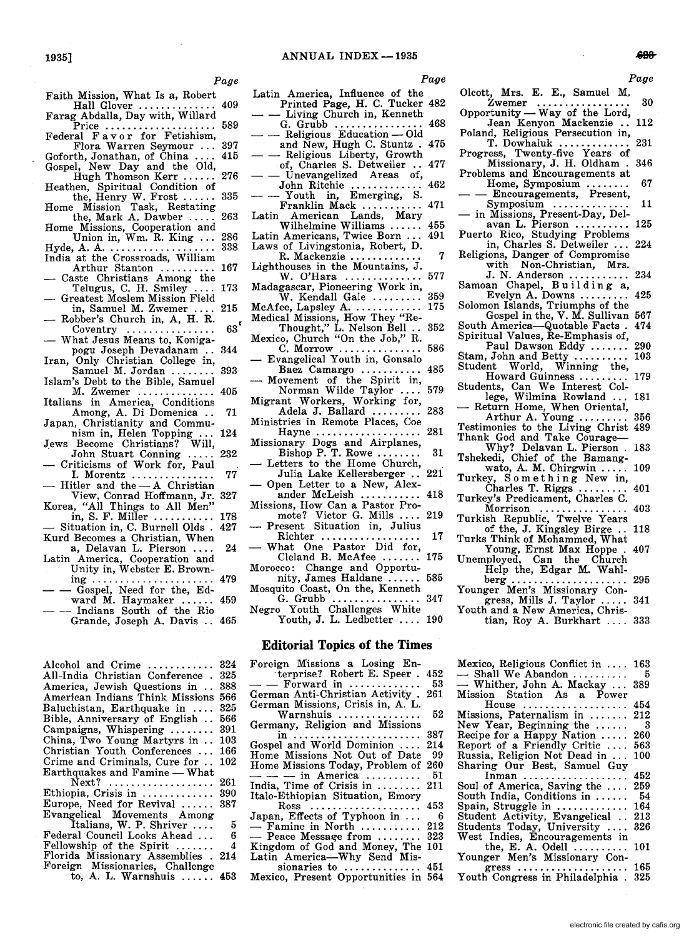*Page* 

- Faith Mission, What Is a, Robert Faith Mission, What is a, Robert<br>Hall Glover ................. 409<br>Farag Abdalla, Day with, Willard
- Price .................... 589
- Federal F a v o r for Fetishism,<br>Flora Warren Seymour
- Flora Warren Seymour ... 397 Goforth, Jonathan, of China Gospel, New Day and the Old,
- Hugh Thomson Kerr ...... 276<br>
Hugh Thomson Kerr ...... 276<br>
the, Henry W. Frost ...... 335<br>
Home Mission Task, Restating<br>
the, Mark A. Dawber ..... 263
- 
- Home Missions, Cooperation and Union in, Wm. R. King ... 286
- Union in, Wm. R. King ... 286<br>Hyde, A. A. ............................ 338
- India at the Crossroads, William<br>Arthur Stanton .......... 167<br>- Caste Christians Among the
- Telugus, C. H. Smiley .... 173 Greatest Moslem Mission Field
- in, Samuel M. Zwemer .... 215
- Robber's Church in, A, H. R. Coventry ................ 63 '
- What Jesus Means to, Konigapogu Joseph Devadanam .. 344
- Iran, Only Christian College in, Samuel M. Jordan ........ 393
- Islam's Debt to the Bible, Samuel M. Zwemer .............. 405
- Italians in America, Conditions Among, A. Di Domenica .. 71
- Japan, Christianity and Commu-
- nism in, Helen Topping ... 124<br>Jews Become Christians? Will,<br>John Stuart Conning ..... 232
- Criticisms of Work for, Paul
- 1. Morentz ............... 77 Hitler and the $-A$  Christian
- View, Conrad Hoffmann, Jr. 327 Korea, "All Things to All Men"<br>in, S. F. Miller ............ 178
- Situation in, C. Burnell Olds . 427
- Kurd Becomes a Christian, When a, Delavan L. Pierson .... 24 Latin America, Cooperation and
- Unity in, Webster E. Brown-<br>ing ............................... 479
- $\lim_{\text{img}} \lim_{n \to \infty} \lim_{n \to \infty} \lim_{n \to \infty} \frac{479}{1000}$ <br>
 Gospel, Need for the, Ed-
- $-$  Gosper, Need for the, Eq. 459<br>ward M. Haymaker ...... 459<br>- Indians South of the Rio Indians South of the Rio<br>Grande, Joseph A. Davis .. 465

| Alcohol and Crime                     | 324        |
|---------------------------------------|------------|
| All-India Christian Conference.       | 325        |
| America, Jewish Questions in          | 388        |
| American Indians Think Missions       | 566        |
| Baluchistan, Earthquake in            | 325        |
| Bible, Anniversary of English         | 566        |
| Campaigns, Whispering $\ldots \ldots$ | 391        |
| China, Two Young Martyrs in           | 103        |
| Christian Youth Conferences           | 166        |
| Crime and Criminals, Cure for         | 102        |
| Earthquakes and Famine — What         |            |
| $Next?$                               | 261        |
| Ethiopia, Crisis in                   | 390        |
| Europe, Need for Revival              | 387        |
| Evangelical Movements Among           |            |
| Italians, W. P. Shriver               | 5          |
| Federal Council Looks Ahead           | 6          |
| Fellowship of the Spirit $\ldots$     | 4          |
| Florida Missionary Assemblies . 214   |            |
| Foreign Missionaries, Challenge       |            |
| to A. T. Warnshuis                    | <b>A52</b> |

A. L. Warnshuis ...... 453

- Latin America, Influence of the<br>Printed Page, H. C. Tucker 482
- $\frac{1}{2}$  Living Church in, Kenneth  $\frac{468}{2}$
- G. Grubb  $\dots \dots \dots \dots \dots$  468<br>- Religious Education Old<br>and New Hugh C. Stuntz, 475
- and New, Hugh C. Stuntz. 475<br>- Religious Liberty, Growth<br>of, Charles S. Detweiler. 477
- Unevangelized Areas of, John Ritchie
- John Ritchie ............. 462 - Youth in, Emerging, S.
- Franklin Mack ......<br>Latin American Lands. American Lands, Mary
- 
- R. Mackenzie ........
- Lighthouses in the Mountains, J.
- Madagascar, Pioneering Work in, W. Kendall Gale .......... 359<br>ee Lansley A.
- McAfee, Lapsley A. .........
- Medical Missions, How They "Re-Thought," L. Nelson Bell .. 352
- Mexico, Church "On the Job," R. C. Morrow ............... 586 Evangelical Youth in, Gonsalo
- Baez Camargo ........... 485 Movement of the Spirit in, Norman Wilde Taylor .... 579
- 
- Migrant Workers, Working for, Adela J. Ballard ......... 283 Ministries in Remote Places, Coe
- Hayne ....................... 281
- Missionary Dogs and Airplanes, Bishop P. T. Rowe........ 31
- Letters to the Home Church,<br>Julia Lake Kellersberger .. 221 Open Letter to a New, Alex-
- ander McLeish ........... 418
- Missions, How Can a Pastor Pro-
- mote? Victor G. Mills .... 219 Present Situation in, Julius
- What One Pastor Did for,<br>Cleland B. McAfee Cleland B. McAfee .......
- Morocco: Change and Opportunity, James Haldane ...... 585
- Mosquito Coast, On the, Kenneth G. Grubb ................ 347

Negro Youth Challenges White Youth, J. L. Ledbetter .... 190

### **Editorial Topics of the Times**

Foreign Missions a Losing Enterprise? Robert E. Speer. 452<br>- Forward in ............... 53 German Anti-Christian Activity . 261 German Missions, Crisis in, A. L. Warnshuis ................... 52 Germany, Religion and Missions in ....................... 387 Gospel and World Dominion .... 214 Home Missions Not Out of Date 99 Home Missions Today, Problem of 260 - - - In AmerIca .......... 51  $\frac{1}{\text{India}}$ , Time of Crisis in .......... 211 Italo-Ethiopian Situation, Emory Ross .................... 453 Japan, Effects of Typhoon in ... - 6<br>
- Famine in North ............... 212<br>
- Peace Message from ......... 323<br>
Kingdom of God and Money, The 101 Latin America-Why Send Missionaries to  $\dots\dots\dots\dots$ Mexico, Present Opportunities in 564

*Page* 

- Olcott, Mrs. E. E., Samuel M.<br>Zwemer ................. Zwemer ................. 30 Opportunity - Way of the Lord, Jean Kenyon Mackenzie .. 112
- 
- Poland, Religious Persecution in, T. Dowhaluk ............. 231
- Progress, Twenty-five Years of Missionary, J. H. Oldham. 346 Problems and Encouragements at
- Home, Symposium ......... 67<br>- Encouragements, Present, Symposium ............... 11
- 
- In Missions, Present-Day, Del-<br>avan L. Pierson ........... 125
- Puerto Rico, Studying Problems in, Charles S. Detweiler ... 224
- Religions, Danger of Compromise with Non-Christian, Mrs.<br>J. N. Anderson ............. 234
- 
- Samoan Chapel, B u i 1 d i n g a,<br>
Evelyn A. Downs ............ 425<br>
Solomon Islands, Triumphs of the
- Gospel in the, V. M. Sullivan 567<br>America—Quotable Facts. 474
- South America-Quotable Facts. Spiritual Values, Re-Emphasis of,
- Paul Dawson Eddy ....... 290<br>John and Betty ......... 103
- Stam, John and Betty ....... Student World, Winning the,
- Howard Guinness ......... 179 Students, Can We Interest Col-
- lege, Wilmina Rowland ... 181<br>-- Return Home, When Oriental,
- Arthur A. Young ......... 356
- Testimonies to the Living Christ 489 Thank God and Take Courage-
- Why? Delavan L. Pierson . 183
- Tshekedi, Chief of the Bamang-wato, A. M. Chirgwin ..... 109 Turkey, Something New in,
- Charles T. Riggs ......... 401 Turkey's Predicament, Charles C.
- Morrison ................ 403 Turkish Republic, Twelve Years
- of the, J. Kingsley Birge .. 118
- Turks Think of Mohammed, What
- Young, Ernst Max Hoppe . 407 Unemployed, Can the Church Help the, Edgar M. Wahl-berg ..................... 295
- Younger Men's Missionary Con-
- gress, Mills J. Taylor ..... 341 Youth and a New America, Chris-
- tian, Roy A. Burkhart .... 333

| Mexico, Religious Conflict in  163 |     |
|------------------------------------|-----|
| - Shall We Abandon                 | -5  |
| - Whither, John A. Mackay          | 389 |
| Mission Station As a Power         |     |
| House                              | 454 |
| Missions, Paternalism in           | 212 |
| New Year, Beginning the $\dots$    | - 3 |
| Recipe for a Happy Nation          | 260 |
| Report of a Friendly Critic        | 563 |
| Russia, Religion Not Dead in       | 100 |
| Sharing Our Best, Samuel Guy       |     |
| Inman                              | 452 |
| Soul of America, Saving the        | 259 |
| South India, Conditions in         | -54 |
| Spain, Struggle in $\ldots$        | 164 |
| Student Activity, Evangelical      | 213 |
| Students Today, University         | 326 |
| West Indies, Encouragements in     |     |
| the, E. A. Odell $\dots\dots\dots$ | 101 |
| Younger Men's Missionary Con-      |     |
| $gress$                            | 165 |
| Youth Congress in Philadelphia.    | 325 |
|                                    |     |

- 
- 
- Wilhelmine Williams ...... 455 Latin Americans, Twice Born ... 491
- Laws of Livingstonia, Robert, D.
- 
- W. O'Hara .............. 577